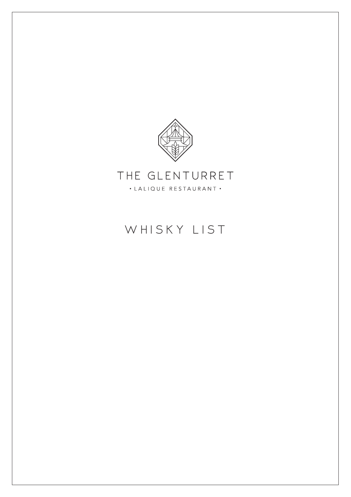

#### THE GLENTURRET · LALIQUE RESTAURANT ·

### WHISKY LIST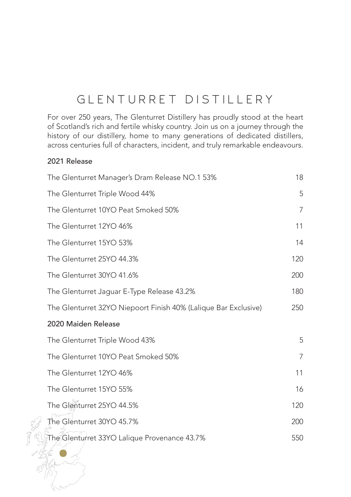For over 250 years, The Glenturret Distillery has proudly stood at the heart of Scotland's rich and fertile whisky country. Join us on a journey through the history of our distillery, home to many generations of dedicated distillers, across centuries full of characters, incident, and truly remarkable endeavours.

#### 2021 Release

| The Glenturret Manager's Dram Release NO.1 53%                  | 18  |
|-----------------------------------------------------------------|-----|
| The Glenturret Triple Wood 44%                                  | 5   |
| The Glenturret 10YO Peat Smoked 50%                             | 7   |
| The Glenturret 12YO 46%                                         | 11  |
| The Glenturret 15YO 53%                                         | 14  |
| The Glenturret 25YO 44.3%                                       | 120 |
| The Glenturret 30YO 41.6%                                       | 200 |
| The Glenturret Jaguar E-Type Release 43.2%                      | 180 |
| The Glenturret 32YO Niepoort Finish 40% (Lalique Bar Exclusive) | 250 |
| 2020 Maiden Release                                             |     |
| The Glenturret Triple Wood 43%                                  | 5   |
| The Glenturret 10YO Peat Smoked 50%                             | 7   |
| The Glenturret 12YO 46%                                         | 11  |
| The Glenturret 15YO 55%                                         | 16  |
| The Glenturret 25YO 44.5%                                       | 120 |
| The Glenturret 30YO 45.7%                                       | 200 |
| The Glenturret 33YO Lalique Provenance 43.7%                    | 550 |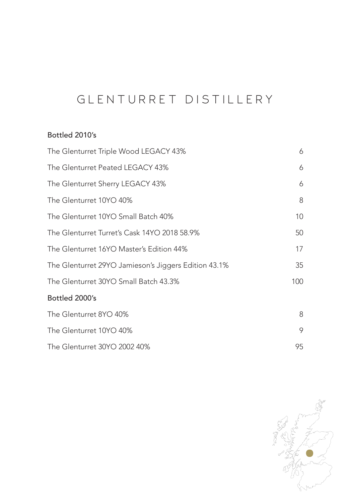#### Bottled 2010's

| The Glenturret Triple Wood LEGACY 43%                | 6   |
|------------------------------------------------------|-----|
| The Glenturret Peated LEGACY 43%                     | 6   |
| The Glenturret Sherry LEGACY 43%                     | 6   |
| The Glenturret 10YO 40%                              | 8   |
| The Glenturret 10YO Small Batch 40%                  | 10  |
| The Glenturret Turret's Cask 14YO 2018 58.9%         | 50  |
| The Glenturret 16YO Master's Edition 44%             | 17  |
| The Glenturret 29YO Jamieson's Jiggers Edition 43.1% | 35  |
| The Glenturret 30YO Small Batch 43.3%                | 100 |
| Bottled 2000's                                       |     |
| The Glenturret 8YO 40%                               | 8   |
| The Glenturret 10YO 40%                              | 9   |
| The Glenturret 30YO 2002 40%                         | 95  |

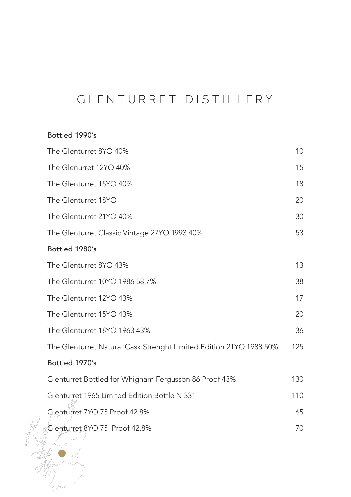#### Bottled 1990's

| The Glenturret 8YO 40%                                             | 10  |
|--------------------------------------------------------------------|-----|
| The Glenurret 12YO 40%                                             | 15  |
| The Glenturret 15YO 40%                                            | 18  |
| The Glenturret 18YO                                                | 20  |
| The Glenturret 21YO 40%                                            | 30  |
| The Glenturret Classic Vintage 27YO 1993 40%                       | 53  |
| Bottled 1980's                                                     |     |
| The Glenturret 8YO 43%                                             | 13  |
| The Glenturret 10YO 1986 58.7%                                     | 38  |
| The Glenturret 12YO 43%                                            | 17  |
| The Glenturret 15YO 43%                                            | 20  |
| The Glenturret 18YO 1963 43%                                       | 36  |
| The Glenturret Natural Cask Strenght Limited Edition 21YO 1988 50% | 125 |
| Bottled 1970's                                                     |     |
| Glenturret Bottled for Whigham Fergusson 86 Proof 43%              | 130 |
| Glenturret 1965 Limited Edition Bottle N 331                       | 110 |
| Glenturret 7YO 75 Proof 42.8%                                      | 65  |
| Glenturret 8YO 75 Proof 42.8%                                      | 70  |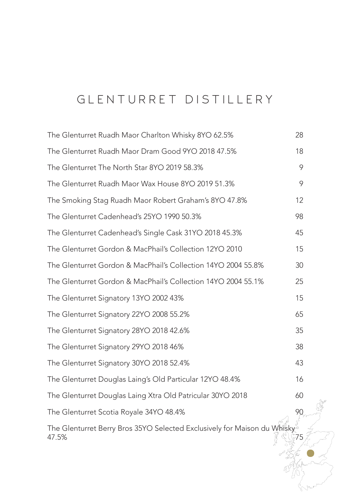| The Glenturret Ruadh Maor Charlton Whisky 8YO 62.5%                               | 28 |
|-----------------------------------------------------------------------------------|----|
| The Glenturret Ruadh Maor Dram Good 9YO 2018 47.5%                                | 18 |
| The Glenturret The North Star 8YO 2019 58.3%                                      | 9  |
| The Glenturret Ruadh Maor Wax House 8YO 2019 51.3%                                | 9  |
| The Smoking Stag Ruadh Maor Robert Graham's 8YO 47.8%                             | 12 |
| The Glenturret Cadenhead's 25YO 1990 50.3%                                        | 98 |
| The Glenturret Cadenhead's Single Cask 31YO 2018 45.3%                            | 45 |
| The Glenturret Gordon & MacPhail's Collection 12YO 2010                           | 15 |
| The Glenturret Gordon & MacPhail's Collection 14YO 2004 55.8%                     | 30 |
| The Glenturret Gordon & MacPhail's Collection 14YO 2004 55.1%                     | 25 |
| The Glenturret Signatory 13YO 2002 43%                                            | 15 |
| The Glenturret Signatory 22YO 2008 55.2%                                          | 65 |
| The Glenturret Signatory 28YO 2018 42.6%                                          | 35 |
| The Glenturret Signatory 29YO 2018 46%                                            | 38 |
| The Glenturret Signatory 30YO 2018 52.4%                                          | 43 |
| The Glenturret Douglas Laing's Old Particular 12YO 48.4%                          | 16 |
| The Glenturret Douglas Laing Xtra Old Patricular 30YO 2018                        | 60 |
| The Glenturret Scotia Royale 34YO 48.4%                                           | 90 |
| The Glenturret Berry Bros 35YO Selected Exclusively for Maison du Whisky<br>47.5% |    |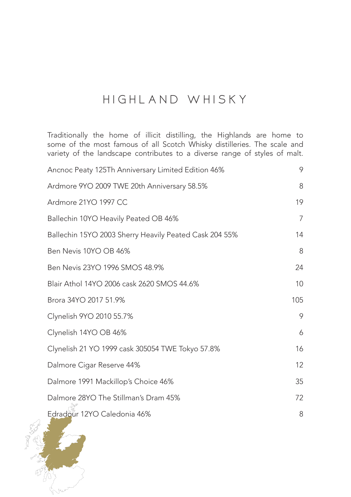### HIGHLAND WHISKY

Traditionally the home of illicit distilling, the Highlands are home to some of the most famous of all Scotch Whisky distilleries. The scale and variety of the landscape contributes to a diverse range of styles of malt.

| Ancnoc Peaty 125Th Anniversary Limited Edition 46%     | 9   |
|--------------------------------------------------------|-----|
| Ardmore 9YO 2009 TWE 20th Anniversary 58.5%            | 8   |
| Ardmore 21YO 1997 CC                                   | 19  |
| Ballechin 10YO Heavily Peated OB 46%                   | 7   |
| Ballechin 15YO 2003 Sherry Heavily Peated Cask 204 55% | 14  |
| Ben Nevis 10YO OB 46%                                  | 8   |
| Ben Nevis 23YO 1996 SMOS 48.9%                         | 24  |
| Blair Athol 14YO 2006 cask 2620 SMOS 44.6%             | 10  |
| Brora 34YO 2017 51.9%                                  | 105 |
| Clynelish 9YO 2010 55.7%                               | 9   |
| Clynelish 14YO OB 46%                                  | 6   |
| Clynelish 21 YO 1999 cask 305054 TWE Tokyo 57.8%       | 16  |
| Dalmore Cigar Reserve 44%                              | 12  |
| Dalmore 1991 Mackillop's Choice 46%                    | 35  |
| Dalmore 28YO The Stillman's Dram 45%                   | 72  |
| Edradour 12YO Caledonia 46%                            | 8   |

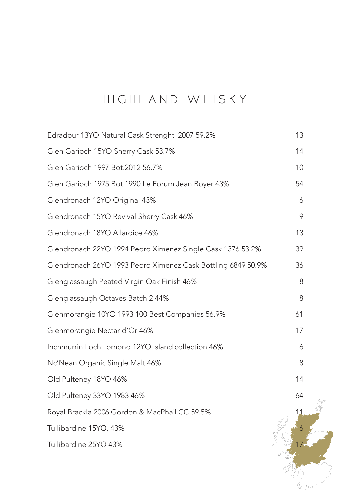## HIGHLAND WHISKY

| Edradour 13YO Natural Cask Strenght 2007 59.2%               | 13 |
|--------------------------------------------------------------|----|
| Glen Garioch 15YO Sherry Cask 53.7%                          | 14 |
| Glen Garioch 1997 Bot.2012 56.7%                             | 10 |
| Glen Garioch 1975 Bot.1990 Le Forum Jean Boyer 43%           | 54 |
| Glendronach 12YO Original 43%                                | 6  |
| Glendronach 15YO Revival Sherry Cask 46%                     | 9  |
| Glendronach 18YO Allardice 46%                               | 13 |
| Glendronach 22YO 1994 Pedro Ximenez Single Cask 1376 53.2%   | 39 |
| Glendronach 26YO 1993 Pedro Ximenez Cask Bottling 6849 50.9% | 36 |
| Glenglassaugh Peated Virgin Oak Finish 46%                   | 8  |
| Glenglassaugh Octaves Batch 2 44%                            | 8  |
| Glenmorangie 10YO 1993 100 Best Companies 56.9%              | 61 |
| Glenmorangie Nectar d'Or 46%                                 | 17 |
| Inchmurrin Loch Lomond 12YO Island collection 46%            | 6  |
| Nc'Nean Organic Single Malt 46%                              | 8  |
| Old Pulteney 18YO 46%                                        | 14 |
| Old Pulteney 33YO 1983 46%                                   | 64 |
| Royal Brackla 2006 Gordon & MacPhail CC 59.5%                | 11 |
| Tullibardine 15YO, 43%                                       |    |
| Tullibardine 25YO 43%                                        |    |
|                                                              |    |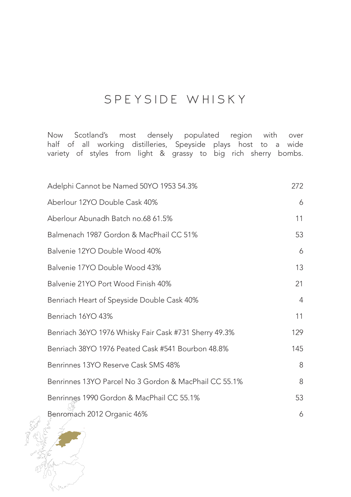#### SPEYSIDE WHISKY

Now Scotland's most densely populated region with over half of all working distilleries, Speyside plays host to a wide variety of styles from light & grassy to big rich sherry bombs.

| Adelphi Cannot be Named 50YO 1953 54.3%               | 272 |
|-------------------------------------------------------|-----|
| Aberlour 12YO Double Cask 40%                         | 6   |
| Aberlour Abunadh Batch no.68 61.5%                    | 11  |
| Balmenach 1987 Gordon & MacPhail CC 51%               | 53  |
| Balvenie 12YO Double Wood 40%                         | 6   |
| Balvenie 17YO Double Wood 43%                         | 13  |
| Balvenie 21YO Port Wood Finish 40%                    | 21  |
| Benriach Heart of Speyside Double Cask 40%            | 4   |
| Benriach 16YO 43%                                     | 11  |
| Benriach 36YO 1976 Whisky Fair Cask #731 Sherry 49.3% | 129 |
| Benriach 38YO 1976 Peated Cask #541 Bourbon 48.8%     | 145 |
| Benrinnes 13YO Reserve Cask SMS 48%                   | 8   |
| Benrinnes 13YO Parcel No 3 Gordon & MacPhail CC 55.1% | 8   |
| Benrinnes 1990 Gordon & MacPhail CC 55.1%             | 53  |
| Benromach 2012 Organic 46%                            | 6   |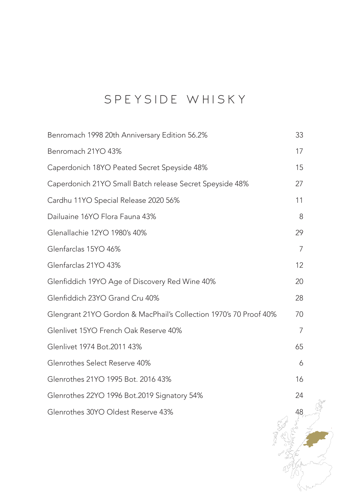# SPEYSIDE WHISKY

| Benromach 1998 20th Anniversary Edition 56.2%                     | 33 |
|-------------------------------------------------------------------|----|
| Benromach 21YO 43%                                                | 17 |
| Caperdonich 18YO Peated Secret Speyside 48%                       | 15 |
| Caperdonich 21YO Small Batch release Secret Speyside 48%          | 27 |
| Cardhu 11YO Special Release 2020 56%                              | 11 |
| Dailuaine 16YO Flora Fauna 43%                                    | 8  |
| Glenallachie 12YO 1980's 40%                                      | 29 |
| Glenfarclas 15YO 46%                                              | 7  |
| Glenfarclas 21YO 43%                                              | 12 |
| Glenfiddich 19YO Age of Discovery Red Wine 40%                    | 20 |
| Glenfiddich 23YO Grand Cru 40%                                    | 28 |
| Glengrant 21YO Gordon & MacPhail's Collection 1970's 70 Proof 40% | 70 |
| Glenlivet 15YO French Oak Reserve 40%                             | 7  |
| Glenlivet 1974 Bot.2011 43%                                       | 65 |
| Glenrothes Select Reserve 40%                                     | 6  |
| Glenrothes 21YO 1995 Bot. 2016 43%                                | 16 |
| Glenrothes 22YO 1996 Bot.2019 Signatory 54%                       | 24 |
| Glenrothes 30YO Oldest Reserve 43%                                | 48 |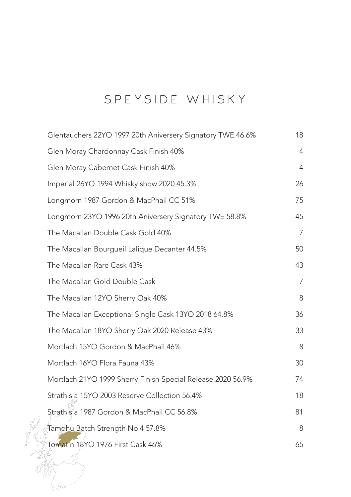# SPEYSIDE WHISKY

| Glentauchers 22YO 1997 20th Aniversery Signatory TWE 46.6%  | 18             |
|-------------------------------------------------------------|----------------|
| Glen Moray Chardonnay Cask Finish 40%                       | $\overline{4}$ |
| Glen Moray Cabernet Cask Finish 40%                         | 4              |
| Imperial 26YO 1994 Whisky show 2020 45.3%                   | 26             |
| Longmorn 1987 Gordon & MacPhail CC 51%                      | 75             |
| Longmorn 23YO 1996 20th Aniversery Signatory TWE 58.8%      | 45             |
| The Macallan Double Cask Gold 40%                           | 7              |
| The Macallan Bourgueil Lalique Decanter 44.5%               | 50             |
| The Macallan Rare Cask 43%                                  | 43             |
| The Macallan Gold Double Cask                               | 7              |
| The Macallan 12YO Sherry Oak 40%                            | 8              |
| The Macallan Exceptional Single Cask 13YO 2018 64.8%        | 36             |
| The Macallan 18YO Sherry Oak 2020 Release 43%               | 33             |
| Mortlach 15YO Gordon & MacPhail 46%                         | 8              |
| Mortlach 16YO Flora Fauna 43%                               | 30             |
| Mortlach 21YO 1999 Sherry Finish Special Release 2020 56.9% | 74             |
| Strathisla 15YO 2003 Reserve Collection 56.4%               | 18             |
| Strathisla 1987 Gordon & MacPhail CC 56.8%                  | 81             |
| Tamdhu Batch Strength No 4 57.8%                            | 8              |
| Tomatin 18YO 1976 First Cask 46%                            | 65             |

scan?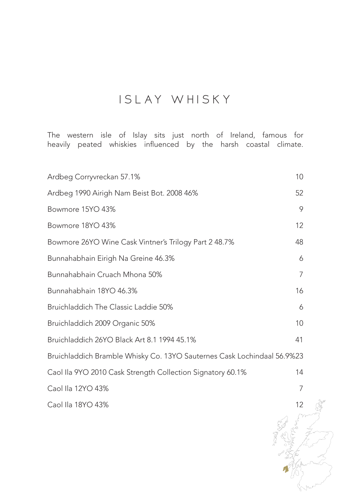### I S L A Y W H I S K Y

The western isle of Islay sits just north of Ireland, famous for heavily peated whiskies influenced by the harsh coastal climate.

| Ardbeg Corryvreckan 57.1%                                               | 10 |  |
|-------------------------------------------------------------------------|----|--|
| Ardbeg 1990 Airigh Nam Beist Bot. 2008 46%                              | 52 |  |
| Bowmore 15YO 43%                                                        | 9  |  |
| Bowmore 18YO 43%                                                        | 12 |  |
| Bowmore 26YO Wine Cask Vintner's Trilogy Part 2 48.7%                   | 48 |  |
| Bunnahabhain Eirigh Na Greine 46.3%                                     | 6  |  |
| Bunnahabhain Cruach Mhona 50%                                           | 7  |  |
| Bunnahabhain 18YO 46.3%                                                 | 16 |  |
| Bruichladdich The Classic Laddie 50%                                    | 6  |  |
| Bruichladdich 2009 Organic 50%                                          | 10 |  |
| Bruichladdich 26YO Black Art 8.1 1994 45.1%                             | 41 |  |
| Bruichladdich Bramble Whisky Co. 13YO Sauternes Cask Lochindaal 56.9%23 |    |  |
| Caol Ila 9YO 2010 Cask Strength Collection Signatory 60.1%              | 14 |  |
| Caol Ila 12YO 43%                                                       | 7  |  |
| Caol Ila 18YO 43%                                                       | 12 |  |
|                                                                         |    |  |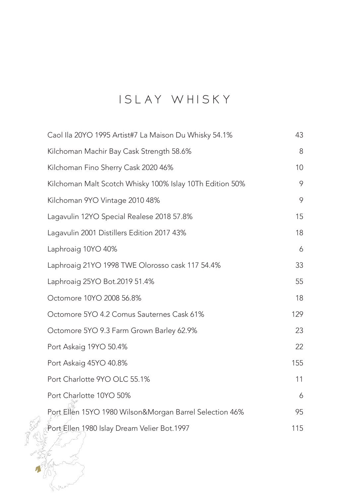## I S L A Y W H I S K Y

| Caol Ila 20YO 1995 Artist#7 La Maison Du Whisky 54.1%    | 43              |
|----------------------------------------------------------|-----------------|
| Kilchoman Machir Bay Cask Strength 58.6%                 | 8               |
| Kilchoman Fino Sherry Cask 2020 46%                      | 10 <sup>1</sup> |
| Kilchoman Malt Scotch Whisky 100% Islay 10Th Edition 50% | 9               |
| Kilchoman 9YO Vintage 2010 48%                           | 9               |
| Lagavulin 12YO Special Realese 2018 57.8%                | 15              |
| Lagavulin 2001 Distillers Edition 2017 43%               | 18              |
| Laphroaig 10YO 40%                                       | 6               |
| Laphroaig 21YO 1998 TWE Olorosso cask 117 54.4%          | 33              |
| Laphroaig 25YO Bot.2019 51.4%                            | 55              |
| Octomore 10YO 2008 56.8%                                 | 18              |
| Octomore 5YO 4.2 Comus Sauternes Cask 61%                | 129             |
| Octomore 5YO 9.3 Farm Grown Barley 62.9%                 | 23              |
| Port Askaig 19YO 50.4%                                   | 22              |
| Port Askaig 45YO 40.8%                                   | 155             |
| Port Charlotte 9YO OLC 55.1%                             | 11              |
| Port Charlotte 10YO 50%                                  | 6               |
| Port Ellen 15YO 1980 Wilson&Morgan Barrel Selection 46%  | 95              |
| Port Ellen 1980 Islay Dream Velier Bot.1997              | 115             |

Í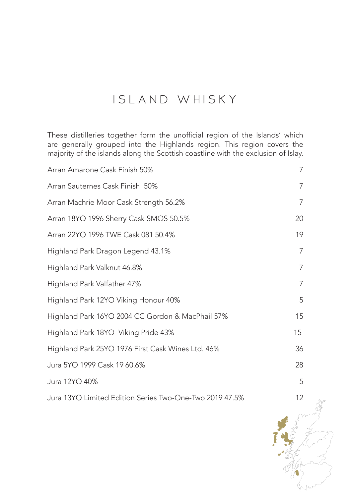### ISLAND WHISKY

These distilleries together form the unofficial region of the Islands' which are generally grouped into the Highlands region. This region covers the majority of the islands along the Scottish coastline with the exclusion of Islay.

| Arran Amarone Cask Finish 50%                           | 7  |
|---------------------------------------------------------|----|
| Arran Sauternes Cask Finish 50%                         | 7  |
| Arran Machrie Moor Cask Strength 56.2%                  | 7  |
| Arran 18YO 1996 Sherry Cask SMOS 50.5%                  | 20 |
| Arran 22YO 1996 TWE Cask 081 50.4%                      | 19 |
| Highland Park Dragon Legend 43.1%                       | 7  |
| Highland Park Valknut 46.8%                             | 7  |
| Highland Park Valfather 47%                             | 7  |
| Highland Park 12YO Viking Honour 40%                    | 5  |
| Highland Park 16YO 2004 CC Gordon & MacPhail 57%        | 15 |
| Highland Park 18YO Viking Pride 43%                     | 15 |
| Highland Park 25YO 1976 First Cask Wines Ltd. 46%       | 36 |
| Jura 5YO 1999 Cask 19 60.6%                             | 28 |
| Jura 12YO 40%                                           | 5  |
| Jura 13YO Limited Edition Series Two-One-Two 2019 47.5% | 12 |

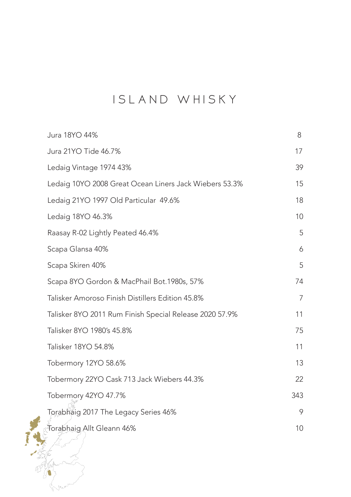# ISLAND WHISKY

| Jura 18YO 44%                                           | 8               |
|---------------------------------------------------------|-----------------|
| Jura 21YO Tide 46.7%                                    | 17              |
| Ledaig Vintage 1974 43%                                 | 39              |
| Ledaig 10YO 2008 Great Ocean Liners Jack Wiebers 53.3%  | 15              |
| Ledaig 21YO 1997 Old Particular 49.6%                   | 18              |
| Ledaig 18YO 46.3%                                       | 10 <sup>°</sup> |
| Raasay R-02 Lightly Peated 46.4%                        | 5               |
| Scapa Glansa 40%                                        | 6               |
| Scapa Skiren 40%                                        | 5               |
| Scapa 8YO Gordon & MacPhail Bot.1980s, 57%              | 74              |
| Talisker Amoroso Finish Distillers Edition 45.8%        | 7               |
| Talisker 8YO 2011 Rum Finish Special Release 2020 57.9% | 11              |
| Talisker 8YO 1980's 45.8%                               | 75              |
| Talisker 18YO 54.8%                                     | 11              |
| Tobermory 12YO 58.6%                                    | 13              |
| Tobermory 22YO Cask 713 Jack Wiebers 44.3%              | 22              |
| Tobermory 42YO 47.7%                                    | 343             |
| Torabhaig 2017 The Legacy Series 46%                    | 9               |
| Forabhaig Allt Gleann 46%                               | 10              |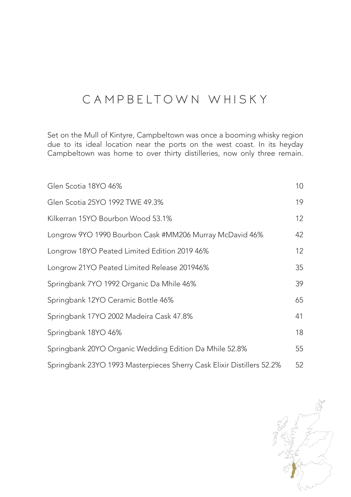### CAMPBELTOWN WHISKY

Set on the Mull of Kintyre, Campbeltown was once a booming whisky region due to its ideal location near the ports on the west coast. In its heyday Campbeltown was home to over thirty distilleries, now only three remain.

| Glen Scotia 18YO 46%                                                  | 10                |
|-----------------------------------------------------------------------|-------------------|
| Glen Scotia 25YO 1992 TWE 49.3%                                       | 19                |
| Kilkerran 15YO Bourbon Wood 53.1%                                     | $12 \overline{ }$ |
| Longrow 9YO 1990 Bourbon Cask #MM206 Murray McDavid 46%               | 42                |
| Longrow 18YO Peated Limited Edition 2019 46%                          | $12 \overline{ }$ |
| Longrow 21YO Peated Limited Release 201946%                           | 35                |
| Springbank 7YO 1992 Organic Da Mhile 46%                              | 39                |
| Springbank 12YO Ceramic Bottle 46%                                    | 65                |
| Springbank 17YO 2002 Madeira Cask 47.8%                               | 41                |
| Springbank 18YO 46%                                                   | 18                |
| Springbank 20YO Organic Wedding Edition Da Mhile 52.8%                | 55                |
| Springbank 23YO 1993 Masterpieces Sherry Cask Elixir Distillers 52.2% | 52                |

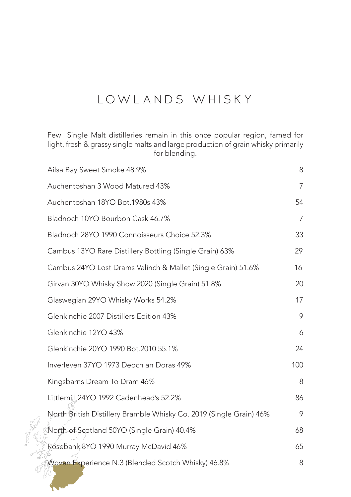### LOW LANDS WHISKY

Few Single Malt distilleries remain in this once popular region, famed for light, fresh & grassy single malts and large production of grain whisky primarily for blending.

| Ailsa Bay Sweet Smoke 48.9%                                         | 8   |
|---------------------------------------------------------------------|-----|
| Auchentoshan 3 Wood Matured 43%                                     | 7   |
| Auchentoshan 18YO Bot.1980s 43%                                     | 54  |
| Bladnoch 10YO Bourbon Cask 46.7%                                    | 7   |
| Bladnoch 28YO 1990 Connoisseurs Choice 52.3%                        | 33  |
| Cambus 13YO Rare Distillery Bottling (Single Grain) 63%             | 29  |
| Cambus 24YO Lost Drams Valinch & Mallet (Single Grain) 51.6%        | 16  |
| Girvan 30YO Whisky Show 2020 (Single Grain) 51.8%                   | 20  |
| Glaswegian 29YO Whisky Works 54.2%                                  | 17  |
| Glenkinchie 2007 Distillers Edition 43%                             | 9   |
| Glenkinchie 12YO 43%                                                | 6   |
| Glenkinchie 20YO 1990 Bot.2010 55.1%                                | 24  |
| Inverleven 37YO 1973 Deoch an Doras 49%                             | 100 |
| Kingsbarns Dream To Dram 46%                                        | 8   |
| Littlemill 24YO 1992 Cadenhead's 52.2%                              | 86  |
| North British Distillery Bramble Whisky Co. 2019 (Single Grain) 46% | 9   |
| North of Scotland 50YO (Single Grain) 40.4%                         | 68  |
| Rosebank 8YO 1990 Murray McDavid 46%                                | 65  |
| Woven Experience N.3 (Blended Scotch Whisky) 46.8%                  | 8   |